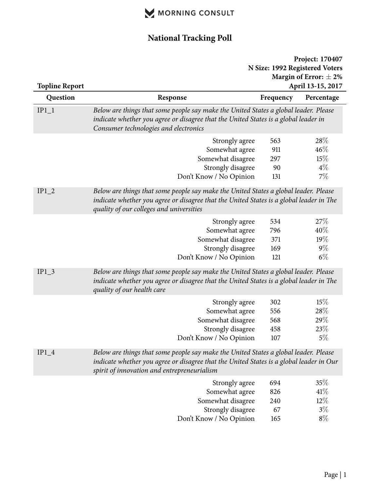

## **National Tracking Poll**

| <b>Topline Report</b> |                                                                                                                                                                                                                                | Project: 170407<br>N Size: 1992 Registered Voters<br>Margin of Error: $\pm 2\%$<br>April 13-15, 2017 |                                         |
|-----------------------|--------------------------------------------------------------------------------------------------------------------------------------------------------------------------------------------------------------------------------|------------------------------------------------------------------------------------------------------|-----------------------------------------|
| Question              | Response                                                                                                                                                                                                                       | Frequency                                                                                            | Percentage                              |
| $IP1_1$               | Below are things that some people say make the United States a global leader. Please<br>indicate whether you agree or disagree that the United States is a global leader in<br>Consumer technologies and electronics           |                                                                                                      |                                         |
|                       | Strongly agree<br>Somewhat agree<br>Somewhat disagree<br>Strongly disagree<br>Don't Know / No Opinion                                                                                                                          | 563<br>911<br>297<br>90<br>131                                                                       | 28\%<br>$46\%$<br>15%<br>$4\%$<br>$7\%$ |
| $IP1_2$               | Below are things that some people say make the United States a global leader. Please<br>indicate whether you agree or disagree that the United States is a global leader in The<br>quality of our colleges and universities    |                                                                                                      |                                         |
|                       | Strongly agree<br>Somewhat agree<br>Somewhat disagree<br>Strongly disagree<br>Don't Know / No Opinion                                                                                                                          | 534<br>796<br>371<br>169<br>121                                                                      | 27\%<br>40%<br>19%<br>$9\%$<br>$6\%$    |
| $IP1_3$               | Below are things that some people say make the United States a global leader. Please<br>indicate whether you agree or disagree that the United States is a global leader in The<br>quality of our health care                  |                                                                                                      |                                         |
|                       | Strongly agree<br>Somewhat agree<br>Somewhat disagree<br>Strongly disagree<br>Don't Know / No Opinion                                                                                                                          | 302<br>556<br>568<br>458<br>107                                                                      | 15%<br>28\%<br>29%<br>23%<br>$5\%$      |
| $IP1_4$               | Below are things that some people say make the United States a global leader. Please<br>indicate whether you agree or disagree that the United States is a global leader in Our<br>spirit of innovation and entrepreneurialism |                                                                                                      |                                         |
|                       | Strongly agree<br>Somewhat agree<br>Somewhat disagree<br>Strongly disagree<br>Don't Know / No Opinion                                                                                                                          | 694<br>826<br>240<br>67<br>165                                                                       | 35%<br>41%<br>$12\%$<br>$3\%$<br>$8\%$  |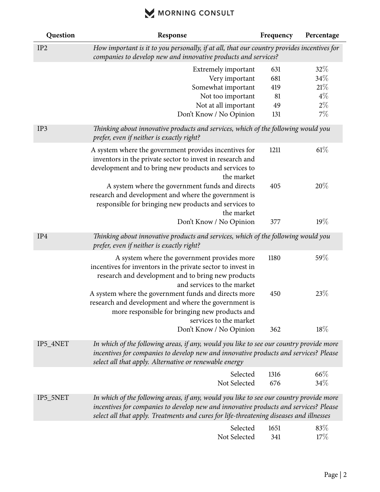# MORNING CONSULT

| Question        | Response                                                                                                                                                                                                                                                                   | Frequency   | Percentage  |
|-----------------|----------------------------------------------------------------------------------------------------------------------------------------------------------------------------------------------------------------------------------------------------------------------------|-------------|-------------|
| IP <sub>2</sub> | How important is it to you personally, if at all, that our country provides incentives for<br>companies to develop new and innovative products and services?                                                                                                               |             |             |
|                 | Extremely important                                                                                                                                                                                                                                                        | 631         | 32\%        |
|                 | Very important                                                                                                                                                                                                                                                             | 681         | 34%         |
|                 | Somewhat important                                                                                                                                                                                                                                                         | 419         | 21%         |
|                 | Not too important                                                                                                                                                                                                                                                          | 81          | $4\%$       |
|                 | Not at all important                                                                                                                                                                                                                                                       | 49          | $2\%$       |
|                 | Don't Know / No Opinion                                                                                                                                                                                                                                                    | 131         | $7\%$       |
| IP3             | Thinking about innovative products and services, which of the following would you<br>prefer, even if neither is exactly right?                                                                                                                                             |             |             |
|                 | A system where the government provides incentives for<br>inventors in the private sector to invest in research and<br>development and to bring new products and services to<br>the market                                                                                  | 1211        | $61\%$      |
|                 | A system where the government funds and directs<br>research and development and where the government is<br>responsible for bringing new products and services to<br>the market                                                                                             | 405         | 20%         |
|                 | Don't Know / No Opinion                                                                                                                                                                                                                                                    | 377         | 19%         |
| IP4             | Thinking about innovative products and services, which of the following would you<br>prefer, even if neither is exactly right?                                                                                                                                             |             |             |
|                 | A system where the government provides more<br>incentives for inventors in the private sector to invest in<br>research and development and to bring new products<br>and services to the market                                                                             | 1180        | 59%         |
|                 | A system where the government funds and directs more<br>research and development and where the government is<br>more responsible for bringing new products and<br>services to the market                                                                                   | 450         | 23%         |
|                 | Don't Know / No Opinion                                                                                                                                                                                                                                                    | 362         | $18\%$      |
| IP5_4NET        | In which of the following areas, if any, would you like to see our country provide more<br>incentives for companies to develop new and innovative products and services? Please<br>select all that apply. Alternative or renewable energy                                  |             |             |
|                 | Selected<br>Not Selected                                                                                                                                                                                                                                                   | 1316<br>676 | 66%<br>34%  |
| IP5_5NET        | In which of the following areas, if any, would you like to see our country provide more<br>incentives for companies to develop new and innovative products and services? Please<br>select all that apply. Treatments and cures for life-threatening diseases and illnesses |             |             |
|                 | Selected<br>Not Selected                                                                                                                                                                                                                                                   | 1651<br>341 | 83\%<br>17% |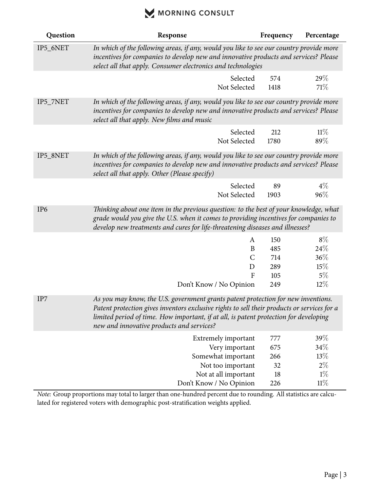### MORNING CONSULT

| Question        | Response                                                                                                                                                                                                                                                                                                               | Frequency   | Percentage   |
|-----------------|------------------------------------------------------------------------------------------------------------------------------------------------------------------------------------------------------------------------------------------------------------------------------------------------------------------------|-------------|--------------|
| IP5_6NET        | In which of the following areas, if any, would you like to see our country provide more<br>incentives for companies to develop new and innovative products and services? Please<br>select all that apply. Consumer electronics and technologies                                                                        |             |              |
|                 | Selected<br>Not Selected                                                                                                                                                                                                                                                                                               | 574<br>1418 | 29%<br>71%   |
| IP5_7NET        | In which of the following areas, if any, would you like to see our country provide more<br>incentives for companies to develop new and innovative products and services? Please<br>select all that apply. New films and music                                                                                          |             |              |
|                 | Selected<br>Not Selected                                                                                                                                                                                                                                                                                               | 212<br>1780 | 11%<br>89%   |
| IP5_8NET        | In which of the following areas, if any, would you like to see our country provide more<br>incentives for companies to develop new and innovative products and services? Please<br>select all that apply. Other (Please specify)                                                                                       |             |              |
|                 | Selected<br>Not Selected                                                                                                                                                                                                                                                                                               | 89<br>1903  | $4\%$<br>96% |
| IP <sub>6</sub> | Thinking about one item in the previous question: to the best of your knowledge, what<br>grade would you give the U.S. when it comes to providing incentives for companies to<br>develop new treatments and cures for life-threatening diseases and illnesses?                                                         |             |              |
|                 | A                                                                                                                                                                                                                                                                                                                      | 150         | $8\%$        |
|                 | B                                                                                                                                                                                                                                                                                                                      | 485         | 24%          |
|                 | $\mathsf{C}$                                                                                                                                                                                                                                                                                                           | 714         | 36%          |
|                 | D                                                                                                                                                                                                                                                                                                                      | 289         | 15%          |
|                 | $\mathbf{F}$                                                                                                                                                                                                                                                                                                           | 105         | $5\%$        |
|                 | Don't Know / No Opinion                                                                                                                                                                                                                                                                                                | 249         | $12\%$       |
| IP7             | As you may know, the U.S. government grants patent protection for new inventions.<br>Patent protection gives inventors exclusive rights to sell their products or services for a<br>limited period of time. How important, if at all, is patent protection for developing<br>new and innovative products and services? |             |              |
|                 | Extremely important                                                                                                                                                                                                                                                                                                    | 777         | 39%          |
|                 | Very important                                                                                                                                                                                                                                                                                                         | 675         | 34\%         |
|                 | Somewhat important                                                                                                                                                                                                                                                                                                     | 266         | 13%          |
|                 | Not too important                                                                                                                                                                                                                                                                                                      | 32          | $2\%$        |
|                 | Not at all important                                                                                                                                                                                                                                                                                                   | 18          | $1\%$        |
|                 | Don't Know / No Opinion                                                                                                                                                                                                                                                                                                | 226         | $11\%$       |

*Note:* Group proportions may total to larger than one-hundred percent due to rounding. All statistics are calculated for registered voters with demographic post-stratification weights applied.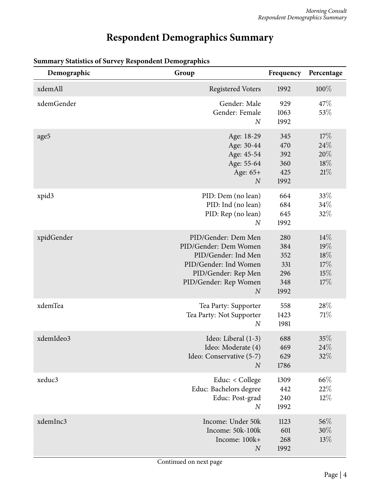# **Respondent Demographics Summary**

| Demographic | Group                                                                                                                                                            | Frequency                                      | Percentage                             |
|-------------|------------------------------------------------------------------------------------------------------------------------------------------------------------------|------------------------------------------------|----------------------------------------|
| xdemAll     | <b>Registered Voters</b>                                                                                                                                         | 1992                                           | 100%                                   |
| xdemGender  | Gender: Male<br>Gender: Female<br>$\boldsymbol{N}$                                                                                                               | 929<br>1063<br>1992                            | 47\%<br>53%                            |
| age5        | Age: 18-29<br>Age: 30-44<br>Age: 45-54<br>Age: 55-64<br>Age: 65+<br>$\boldsymbol{N}$                                                                             | 345<br>470<br>392<br>360<br>425<br>1992        | 17%<br>24\%<br>20%<br>18%<br>21%       |
| xpid3       | PID: Dem (no lean)<br>PID: Ind (no lean)<br>PID: Rep (no lean)<br>$\boldsymbol{N}$                                                                               | 664<br>684<br>645<br>1992                      | 33%<br>34%<br>32%                      |
| xpidGender  | PID/Gender: Dem Men<br>PID/Gender: Dem Women<br>PID/Gender: Ind Men<br>PID/Gender: Ind Women<br>PID/Gender: Rep Men<br>PID/Gender: Rep Women<br>$\boldsymbol{N}$ | 280<br>384<br>352<br>331<br>296<br>348<br>1992 | 14%<br>19%<br>18%<br>17%<br>15%<br>17% |
| xdemTea     | Tea Party: Supporter<br>Tea Party: Not Supporter<br>$\boldsymbol{N}$                                                                                             | 558<br>1423<br>1981                            | 28%<br>71%                             |
| xdemIdeo3   | Ideo: Liberal (1-3)<br>Ideo: Moderate (4)<br>Ideo: Conservative (5-7)<br>$\overline{N}$                                                                          | 688<br>469<br>629<br>1786                      | 35%<br>$24\%$<br>32%                   |
| xeduc3      | Educ: < College<br>Educ: Bachelors degree<br>Educ: Post-grad<br>$\boldsymbol{N}$                                                                                 | 1309<br>442<br>240<br>1992                     | 66%<br>$22\%$<br>$12\%$                |
| xdemInc3    | Income: Under 50k<br>Income: 50k-100k<br>Income: 100k+<br>$\boldsymbol{N}$                                                                                       | 1123<br>601<br>268<br>1992                     | 56\%<br>$30\%$<br>13%                  |

#### **Summary Statistics of Survey Respondent Demographics**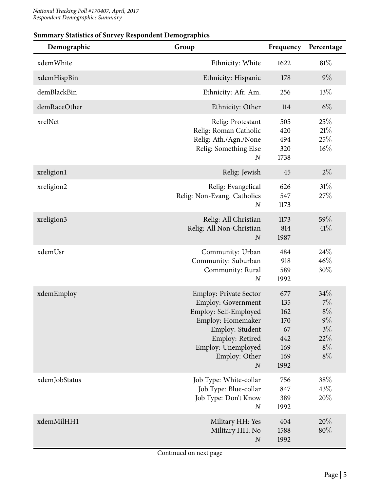| эйнний у этапэнсэ ог эйг үсу теэрөнистт гэснюдгарнгэ<br>Demographic | Group                                                                                                                                                                                              | Frequency                                                   | Percentage                                                    |
|---------------------------------------------------------------------|----------------------------------------------------------------------------------------------------------------------------------------------------------------------------------------------------|-------------------------------------------------------------|---------------------------------------------------------------|
| xdemWhite                                                           | Ethnicity: White                                                                                                                                                                                   | 1622                                                        | $81\%$                                                        |
| xdemHispBin                                                         | Ethnicity: Hispanic                                                                                                                                                                                | 178                                                         | $9\%$                                                         |
| demBlackBin                                                         | Ethnicity: Afr. Am.                                                                                                                                                                                | 256                                                         | 13%                                                           |
| demRaceOther                                                        | Ethnicity: Other                                                                                                                                                                                   | 114                                                         | $6\%$                                                         |
| xrelNet                                                             | Relig: Protestant<br>Relig: Roman Catholic<br>Relig: Ath./Agn./None<br>Relig: Something Else<br>$\boldsymbol{N}$                                                                                   | 505<br>420<br>494<br>320<br>1738                            | 25%<br>21%<br>25%<br>$16\%$                                   |
| xreligion1                                                          | Relig: Jewish                                                                                                                                                                                      | 45                                                          | $2\%$                                                         |
| xreligion2                                                          | Relig: Evangelical<br>Relig: Non-Evang. Catholics<br>$\boldsymbol{N}$                                                                                                                              | 626<br>547<br>1173                                          | $31\%$<br>27%                                                 |
| xreligion3                                                          | Relig: All Christian<br>Relig: All Non-Christian<br>$\boldsymbol{N}$                                                                                                                               | 1173<br>814<br>1987                                         | 59%<br>41%                                                    |
| xdemUsr                                                             | Community: Urban<br>Community: Suburban<br>Community: Rural<br>$\boldsymbol{N}$                                                                                                                    | 484<br>918<br>589<br>1992                                   | 24\%<br>46%<br>30%                                            |
| xdemEmploy                                                          | <b>Employ: Private Sector</b><br>Employ: Government<br>Employ: Self-Employed<br>Employ: Homemaker<br>Employ: Student<br>Employ: Retired<br>Employ: Unemployed<br>Employ: Other<br>$\boldsymbol{N}$ | 677<br>135<br>162<br>170<br>67<br>442<br>169<br>169<br>1992 | 34%<br>7%<br>$8\%$<br>$9\%$<br>$3\%$<br>22%<br>$8\%$<br>$8\%$ |
| xdemJobStatus                                                       | Job Type: White-collar<br>Job Type: Blue-collar<br>Job Type: Don't Know<br>$\boldsymbol{N}$                                                                                                        | 756<br>847<br>389<br>1992                                   | 38\%<br>43%<br>20%                                            |
| xdemMilHH1                                                          | Military HH: Yes<br>Military HH: No<br>$\boldsymbol{N}$                                                                                                                                            | 404<br>1588<br>1992                                         | 20%<br>80%                                                    |

#### **Summary Statistics of Survey Respondent Demographics**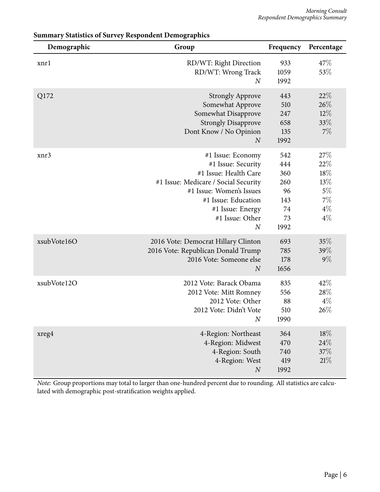| Demographic | Group                                                                                                                                                                                                                | Frequency                                                 | Percentage                                                    |
|-------------|----------------------------------------------------------------------------------------------------------------------------------------------------------------------------------------------------------------------|-----------------------------------------------------------|---------------------------------------------------------------|
| xnrl        | RD/WT: Right Direction<br>RD/WT: Wrong Track<br>$\overline{N}$                                                                                                                                                       | 933<br>1059<br>1992                                       | 47\%<br>53%                                                   |
| Q172        | <b>Strongly Approve</b><br>Somewhat Approve<br>Somewhat Disapprove<br><b>Strongly Disapprove</b><br>Dont Know / No Opinion<br>$\boldsymbol{N}$                                                                       | 443<br>510<br>247<br>658<br>135<br>1992                   | 22%<br>26%<br>12%<br>33%<br>$7\%$                             |
| xnr3        | #1 Issue: Economy<br>#1 Issue: Security<br>#1 Issue: Health Care<br>#1 Issue: Medicare / Social Security<br>#1 Issue: Women's Issues<br>#1 Issue: Education<br>#1 Issue: Energy<br>#1 Issue: Other<br>$\overline{N}$ | 542<br>444<br>360<br>260<br>96<br>143<br>74<br>73<br>1992 | 27\%<br>22%<br>18%<br>13%<br>$5\%$<br>$7\%$<br>$4\%$<br>$4\%$ |
| xsubVote16O | 2016 Vote: Democrat Hillary Clinton<br>2016 Vote: Republican Donald Trump<br>2016 Vote: Someone else<br>$\boldsymbol{N}$                                                                                             | 693<br>785<br>178<br>1656                                 | 35%<br>39%<br>$9\%$                                           |
| xsubVote12O | 2012 Vote: Barack Obama<br>2012 Vote: Mitt Romney<br>2012 Vote: Other<br>2012 Vote: Didn't Vote<br>$\boldsymbol{N}$                                                                                                  | 835<br>556<br>88<br>510<br>1990                           | 42%<br>28%<br>$4\%$<br>26%                                    |
| xreg4       | 4-Region: Northeast<br>4-Region: Midwest<br>4-Region: South<br>4-Region: West<br>$\boldsymbol{N}$                                                                                                                    | 364<br>470<br>740<br>419<br>1992                          | 18%<br>24\%<br>37%<br>21%                                     |

#### **Summary Statistics of Survey Respondent Demographics**

*Note:* Group proportions may total to larger than one-hundred percent due to rounding. All statistics are calculated with demographic post-stratification weights applied.